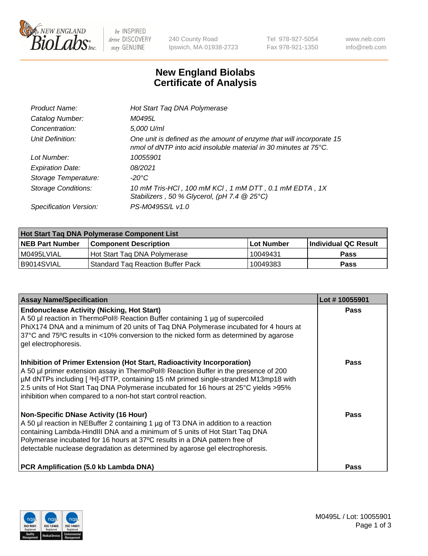

 $be$  INSPIRED drive DISCOVERY stay GENUINE

240 County Road Ipswich, MA 01938-2723 Tel 978-927-5054 Fax 978-921-1350 www.neb.com info@neb.com

## **New England Biolabs Certificate of Analysis**

| Product Name:              | Hot Start Taq DNA Polymerase                                                                                                                       |
|----------------------------|----------------------------------------------------------------------------------------------------------------------------------------------------|
| Catalog Number:            | M0495L                                                                                                                                             |
| Concentration:             | 5,000 U/ml                                                                                                                                         |
| Unit Definition:           | One unit is defined as the amount of enzyme that will incorporate 15<br>nmol of dNTP into acid insoluble material in 30 minutes at $75^{\circ}$ C. |
| Lot Number:                | 10055901                                                                                                                                           |
| <b>Expiration Date:</b>    | 08/2021                                                                                                                                            |
| Storage Temperature:       | -20°C                                                                                                                                              |
| <b>Storage Conditions:</b> | 10 mM Tris-HCl, 100 mM KCl, 1 mM DTT, 0.1 mM EDTA, 1X<br>Stabilizers, 50 % Glycerol, (pH 7.4 $@25°C$ )                                             |
| Specification Version:     | PS-M0495S/L v1.0                                                                                                                                   |

| Hot Start Taq DNA Polymerase Component List |                                     |              |                             |  |  |
|---------------------------------------------|-------------------------------------|--------------|-----------------------------|--|--|
| <b>NEB Part Number</b>                      | <b>Component Description</b>        | l Lot Number | <b>Individual QC Result</b> |  |  |
| M0495LVIAL                                  | Hot Start Tag DNA Polymerase        | 10049431     | <b>Pass</b>                 |  |  |
| I B9014SVIAL                                | l Standard Tag Reaction Buffer Pack | 10049383     | Pass                        |  |  |

| <b>Assay Name/Specification</b>                                                                                                                                                                                                                                                                                                                                                                                | Lot #10055901 |
|----------------------------------------------------------------------------------------------------------------------------------------------------------------------------------------------------------------------------------------------------------------------------------------------------------------------------------------------------------------------------------------------------------------|---------------|
| <b>Endonuclease Activity (Nicking, Hot Start)</b><br>A 50 µl reaction in ThermoPol® Reaction Buffer containing 1 µg of supercoiled<br>PhiX174 DNA and a minimum of 20 units of Taq DNA Polymerase incubated for 4 hours at<br>37°C and 75°C results in <10% conversion to the nicked form as determined by agarose<br>gel electrophoresis.                                                                     | <b>Pass</b>   |
| Inhibition of Primer Extension (Hot Start, Radioactivity Incorporation)<br>A 50 µl primer extension assay in ThermoPol® Reaction Buffer in the presence of 200<br>µM dNTPs including [3H]-dTTP, containing 15 nM primed single-stranded M13mp18 with<br>2.5 units of Hot Start Taq DNA Polymerase incubated for 16 hours at 25°C yields > 95%<br>inhibition when compared to a non-hot start control reaction. | Pass          |
| <b>Non-Specific DNase Activity (16 Hour)</b><br>A 50 µl reaction in NEBuffer 2 containing 1 µg of T3 DNA in addition to a reaction<br>containing Lambda-HindIII DNA and a minimum of 5 units of Hot Start Taq DNA<br>Polymerase incubated for 16 hours at 37°C results in a DNA pattern free of<br>detectable nuclease degradation as determined by agarose gel electrophoresis.                               | Pass          |
| <b>PCR Amplification (5.0 kb Lambda DNA)</b>                                                                                                                                                                                                                                                                                                                                                                   | <b>Pass</b>   |

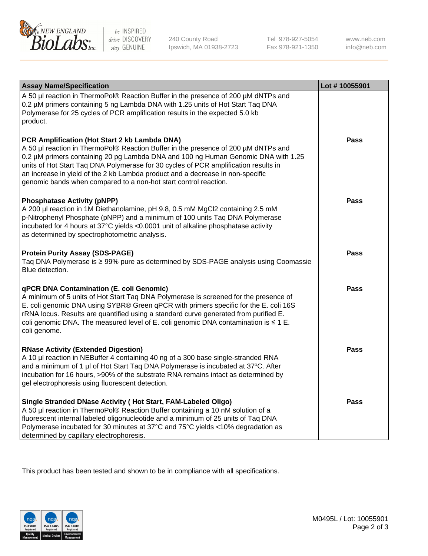

 $be$  INSPIRED drive DISCOVERY stay GENUINE

240 County Road Ipswich, MA 01938-2723 Tel 978-927-5054 Fax 978-921-1350 www.neb.com info@neb.com

| <b>Assay Name/Specification</b>                                                                                                                                                                                                                                                                                                                                                                                                                                       | Lot #10055901 |
|-----------------------------------------------------------------------------------------------------------------------------------------------------------------------------------------------------------------------------------------------------------------------------------------------------------------------------------------------------------------------------------------------------------------------------------------------------------------------|---------------|
| A 50 µl reaction in ThermoPol® Reaction Buffer in the presence of 200 µM dNTPs and<br>0.2 µM primers containing 5 ng Lambda DNA with 1.25 units of Hot Start Taq DNA<br>Polymerase for 25 cycles of PCR amplification results in the expected 5.0 kb<br>product.                                                                                                                                                                                                      |               |
| PCR Amplification (Hot Start 2 kb Lambda DNA)<br>A 50 µl reaction in ThermoPol® Reaction Buffer in the presence of 200 µM dNTPs and<br>0.2 µM primers containing 20 pg Lambda DNA and 100 ng Human Genomic DNA with 1.25<br>units of Hot Start Taq DNA Polymerase for 30 cycles of PCR amplification results in<br>an increase in yield of the 2 kb Lambda product and a decrease in non-specific<br>genomic bands when compared to a non-hot start control reaction. | <b>Pass</b>   |
| <b>Phosphatase Activity (pNPP)</b><br>A 200 µl reaction in 1M Diethanolamine, pH 9.8, 0.5 mM MgCl2 containing 2.5 mM<br>p-Nitrophenyl Phosphate (pNPP) and a minimum of 100 units Taq DNA Polymerase<br>incubated for 4 hours at 37°C yields <0.0001 unit of alkaline phosphatase activity<br>as determined by spectrophotometric analysis.                                                                                                                           | <b>Pass</b>   |
| <b>Protein Purity Assay (SDS-PAGE)</b><br>Taq DNA Polymerase is ≥ 99% pure as determined by SDS-PAGE analysis using Coomassie<br>Blue detection.                                                                                                                                                                                                                                                                                                                      | Pass          |
| <b>qPCR DNA Contamination (E. coli Genomic)</b><br>A minimum of 5 units of Hot Start Taq DNA Polymerase is screened for the presence of<br>E. coli genomic DNA using SYBR® Green qPCR with primers specific for the E. coli 16S<br>rRNA locus. Results are quantified using a standard curve generated from purified E.<br>coli genomic DNA. The measured level of E. coli genomic DNA contamination is $\leq 1$ E.<br>coli genome.                                   | <b>Pass</b>   |
| <b>RNase Activity (Extended Digestion)</b><br>A 10 µl reaction in NEBuffer 4 containing 40 ng of a 300 base single-stranded RNA<br>and a minimum of 1 µl of Hot Start Taq DNA Polymerase is incubated at 37°C. After<br>incubation for 16 hours, >90% of the substrate RNA remains intact as determined by<br>gel electrophoresis using fluorescent detection.                                                                                                        | Pass          |
| Single Stranded DNase Activity (Hot Start, FAM-Labeled Oligo)<br>A 50 µl reaction in ThermoPol® Reaction Buffer containing a 10 nM solution of a<br>fluorescent internal labeled oligonucleotide and a minimum of 25 units of Taq DNA<br>Polymerase incubated for 30 minutes at 37°C and 75°C yields <10% degradation as<br>determined by capillary electrophoresis.                                                                                                  | <b>Pass</b>   |

This product has been tested and shown to be in compliance with all specifications.